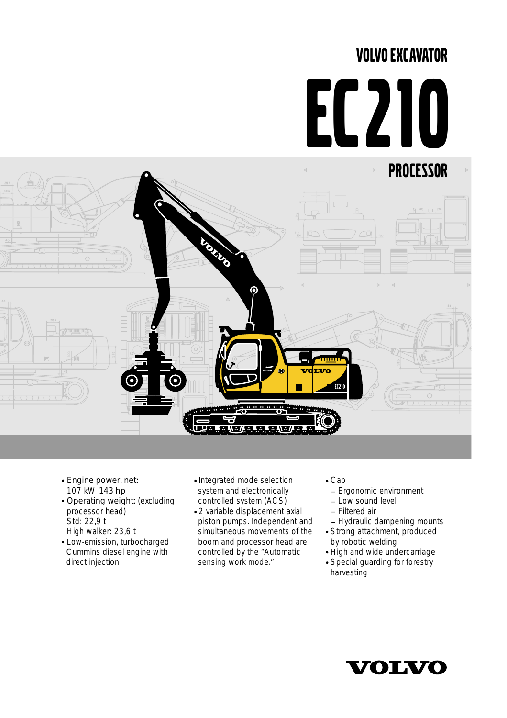## VOLVO EXCAVATOR

## EC210



- Engine power, net: 107 kW 143 hp
- Operating weight: (excluding processor head) Std: 22,9 t High walker: 23,6 t
- Low-emission, turbocharged Cummins diesel engine with direct injection
- Integrated mode selection system and electronically controlled system (ACS)
- 2 variable displacement axial piston pumps. Independent and simultaneous movements of the boom and processor head are controlled by the "Automatic sensing work mode."
- Cab
- Ergonomic environment
- $-1$  ow sound level
- \_ Filtered air
- Hydraulic dampening mounts
- Strong attachment, produced by robotic welding
- High and wide undercarriage
- Special guarding for forestry harvesting